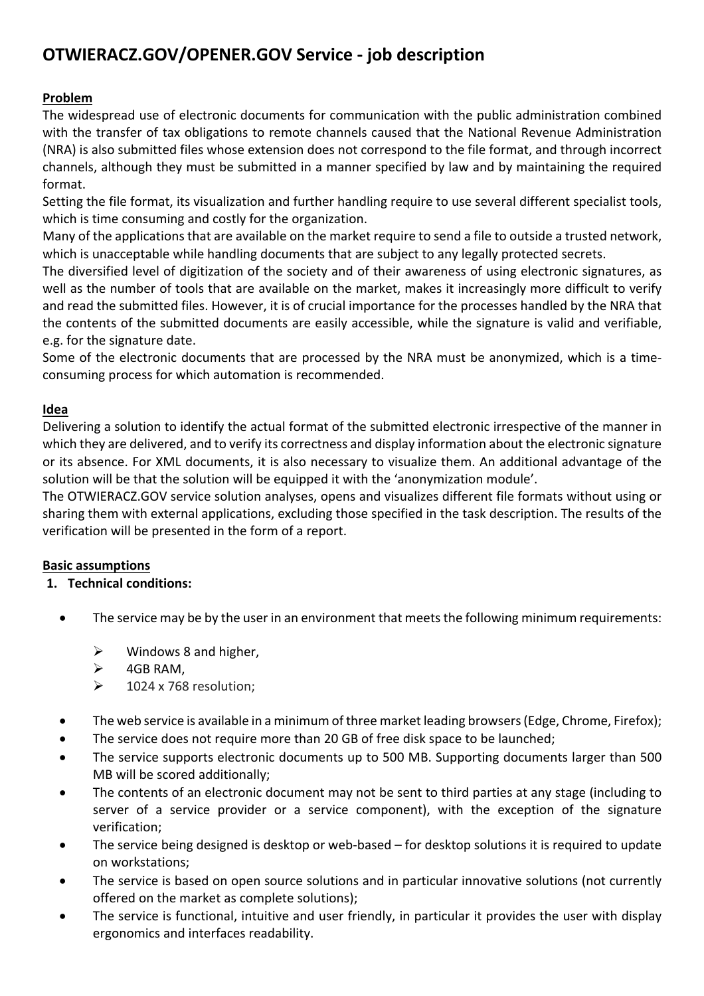# **OTWIERACZ.GOV/OPENER.GOV Service - job description**

# **Problem**

The widespread use of electronic documents for communication with the public administration combined with the transfer of tax obligations to remote channels caused that the National Revenue Administration (NRA) is also submitted files whose extension does not correspond to the file format, and through incorrect channels, although they must be submitted in a manner specified by law and by maintaining the required format.

Setting the file format, its visualization and further handling require to use several different specialist tools, which is time consuming and costly for the organization.

Many of the applications that are available on the market require to send a file to outside a trusted network, which is unacceptable while handling documents that are subject to any legally protected secrets.

The diversified level of digitization of the society and of their awareness of using electronic signatures, as well as the number of tools that are available on the market, makes it increasingly more difficult to verify and read the submitted files. However, it is of crucial importance for the processes handled by the NRA that the contents of the submitted documents are easily accessible, while the signature is valid and verifiable, e.g. for the signature date.

Some of the electronic documents that are processed by the NRA must be anonymized, which is a timeconsuming process for which automation is recommended.

# **Idea**

Delivering a solution to identify the actual format of the submitted electronic irrespective of the manner in which they are delivered, and to verify its correctness and display information about the electronic signature or its absence. For XML documents, it is also necessary to visualize them. An additional advantage of the solution will be that the solution will be equipped it with the 'anonymization module'.

The OTWIERACZ.GOV service solution analyses, opens and visualizes different file formats without using or sharing them with external applications, excluding those specified in the task description. The results of the verification will be presented in the form of a report.

# **Basic assumptions**

# **1. Technical conditions:**

- The service may be by the user in an environment that meets the following minimum requirements:
	- $\triangleright$  Windows 8 and higher,
	- $\geq$  4GB RAM.
	- $\geq$  1024 x 768 resolution;
- The web service is available in a minimum of three market leading browsers (Edge, Chrome, Firefox);
- The service does not require more than 20 GB of free disk space to be launched;
- The service supports electronic documents up to 500 MB. Supporting documents larger than 500 MB will be scored additionally;
- The contents of an electronic document may not be sent to third parties at any stage (including to server of a service provider or a service component), with the exception of the signature verification;
- The service being designed is desktop or web-based for desktop solutions it is required to update on workstations;
- The service is based on open source solutions and in particular innovative solutions (not currently offered on the market as complete solutions);
- The service is functional, intuitive and user friendly, in particular it provides the user with display ergonomics and interfaces readability.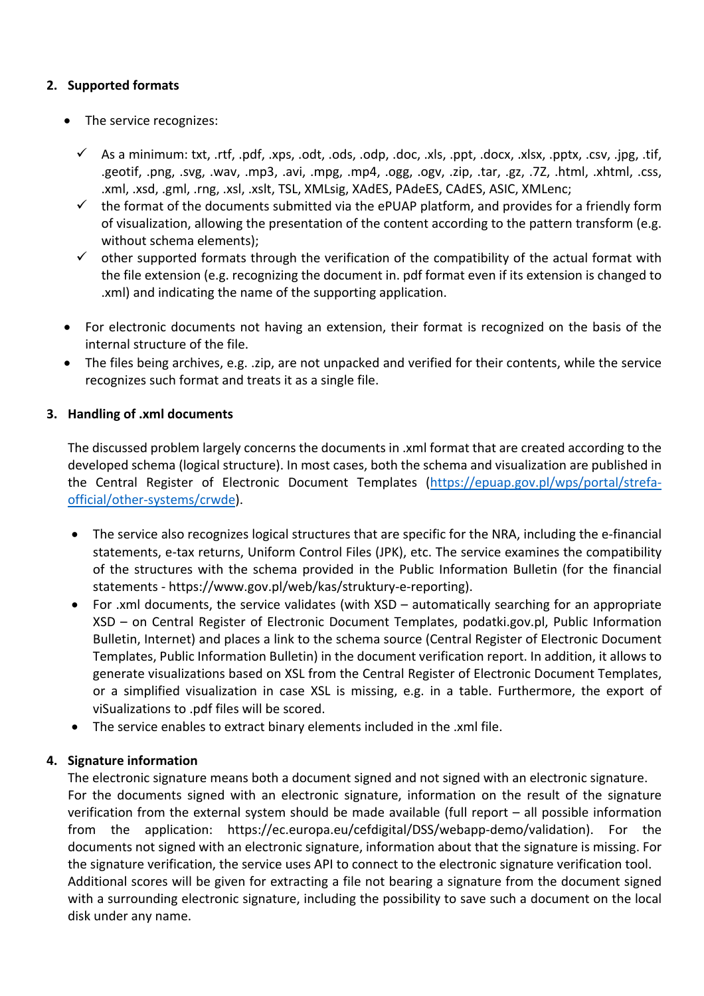## **2. Supported formats**

- The service recognizes:
	- $\checkmark$  As a minimum: txt, .rtf, .pdf, .xps, .odt, .ods, .odp, .doc, .xls, .ppt, .docx, .xlsx, .pptx, .csv, .jpg, .tif, .geotif, .png, .svg, .wav, .mp3, .avi, .mpg, .mp4, .ogg, .ogv, .zip, .tar, .gz, .7Z, .html, .xhtml, .css, .xml, .xsd, .gml, .rng, .xsl, .xslt, TSL, XMLsig, XAdES, PAdeES, CAdES, ASIC, XMLenc;
	- $\checkmark$  the format of the documents submitted via the ePUAP platform, and provides for a friendly form of visualization, allowing the presentation of the content according to the pattern transform (e.g. without schema elements);
	- $\checkmark$  other supported formats through the verification of the compatibility of the actual format with the file extension (e.g. recognizing the document in. pdf format even if its extension is changed to .xml) and indicating the name of the supporting application.
- For electronic documents not having an extension, their format is recognized on the basis of the internal structure of the file.
- The files being archives, e.g. .zip, are not unpacked and verified for their contents, while the service recognizes such format and treats it as a single file.

# **3. Handling of .xml documents**

The discussed problem largely concerns the documents in .xml format that are created according to the developed schema (logical structure). In most cases, both the schema and visualization are published in the Central Register of Electronic Document Templates (https://epuap.gov.pl/wps/portal/strefaofficial/other-systems/crwde).

- The service also recognizes logical structures that are specific for the NRA, including the e-financial statements, e-tax returns, Uniform Control Files (JPK), etc. The service examines the compatibility of the structures with the schema provided in the Public Information Bulletin (for the financial statements - https://www.gov.pl/web/kas/struktury-e-reporting).
- For .xml documents, the service validates (with XSD automatically searching for an appropriate XSD – on Central Register of Electronic Document Templates, podatki.gov.pl, Public Information Bulletin, Internet) and places a link to the schema source (Central Register of Electronic Document Templates, Public Information Bulletin) in the document verification report. In addition, it allows to generate visualizations based on XSL from the Central Register of Electronic Document Templates, or a simplified visualization in case XSL is missing, e.g. in a table. Furthermore, the export of viSualizations to .pdf files will be scored.
- The service enables to extract binary elements included in the .xml file.

### **4. Signature information**

The electronic signature means both a document signed and not signed with an electronic signature. For the documents signed with an electronic signature, information on the result of the signature verification from the external system should be made available (full report – all possible information from the application: https://ec.europa.eu/cefdigital/DSS/webapp-demo/validation). For the documents not signed with an electronic signature, information about that the signature is missing. For the signature verification, the service uses API to connect to the electronic signature verification tool. Additional scores will be given for extracting a file not bearing a signature from the document signed with a surrounding electronic signature, including the possibility to save such a document on the local disk under any name.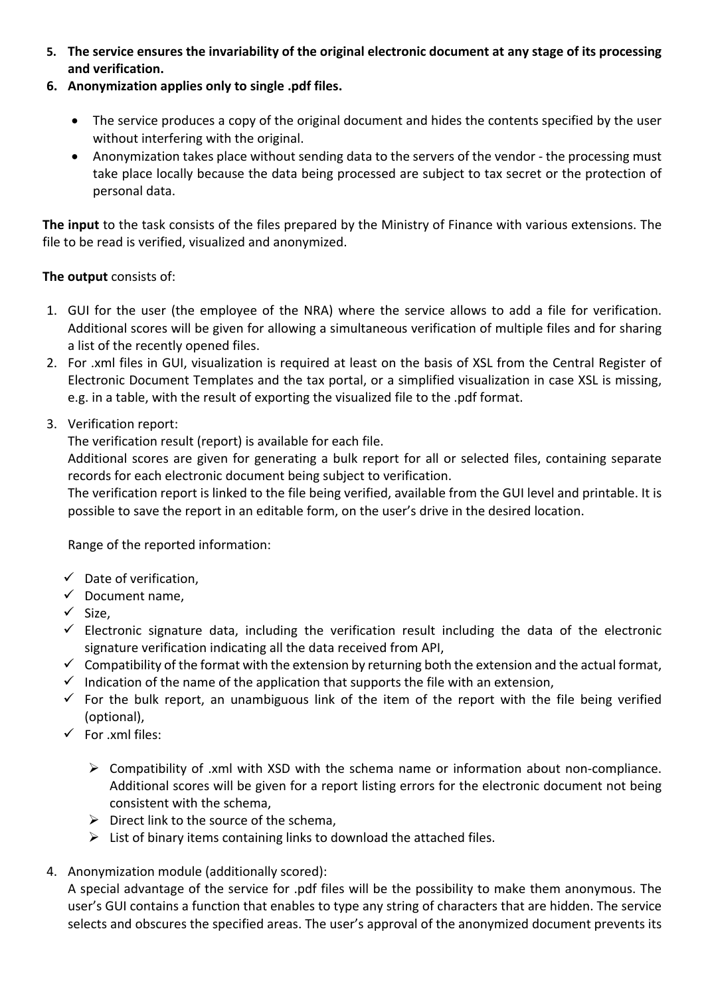- **5. The service ensures the invariability of the original electronic document at any stage of its processing and verification.**
- **6. Anonymization applies only to single .pdf files.**
	- The service produces a copy of the original document and hides the contents specified by the user without interfering with the original.
	- Anonymization takes place without sending data to the servers of the vendor the processing must take place locally because the data being processed are subject to tax secret or the protection of personal data.

**The input** to the task consists of the files prepared by the Ministry of Finance with various extensions. The file to be read is verified, visualized and anonymized.

# **The output** consists of:

- 1. GUI for the user (the employee of the NRA) where the service allows to add a file for verification. Additional scores will be given for allowing a simultaneous verification of multiple files and for sharing a list of the recently opened files.
- 2. For .xml files in GUI, visualization is required at least on the basis of XSL from the Central Register of Electronic Document Templates and the tax portal, or a simplified visualization in case XSL is missing, e.g. in a table, with the result of exporting the visualized file to the .pdf format.
- 3. Verification report:

The verification result (report) is available for each file.

Additional scores are given for generating a bulk report for all or selected files, containing separate records for each electronic document being subject to verification.

The verification report is linked to the file being verified, available from the GUI level and printable. It is possible to save the report in an editable form, on the user's drive in the desired location.

Range of the reported information:

- $\checkmark$  Date of verification.
- $\checkmark$  Document name,
- $\checkmark$  Size,
- $\checkmark$  Electronic signature data, including the verification result including the data of the electronic signature verification indicating all the data received from API,
- $\checkmark$  Compatibility of the format with the extension by returning both the extension and the actual format,
- $\checkmark$  Indication of the name of the application that supports the file with an extension,
- $\checkmark$  For the bulk report, an unambiguous link of the item of the report with the file being verified (optional),
- $\checkmark$  For .xml files:
	- $\triangleright$  Compatibility of .xml with XSD with the schema name or information about non-compliance. Additional scores will be given for a report listing errors for the electronic document not being consistent with the schema,
	- $\triangleright$  Direct link to the source of the schema,
	- $\triangleright$  List of binary items containing links to download the attached files.
- 4. Anonymization module (additionally scored):

A special advantage of the service for .pdf files will be the possibility to make them anonymous. The user's GUI contains a function that enables to type any string of characters that are hidden. The service selects and obscures the specified areas. The user's approval of the anonymized document prevents its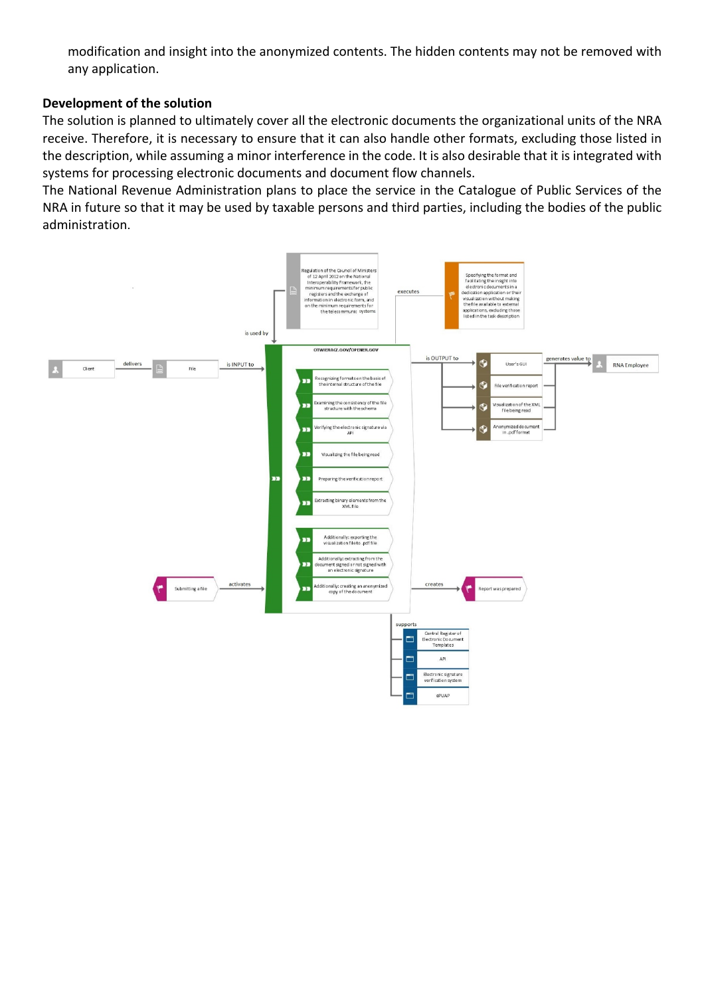modification and insight into the anonymized contents. The hidden contents may not be removed with any application.

#### **Development of the solution**

The solution is planned to ultimately cover all the electronic documents the organizational units of the NRA receive. Therefore, it is necessary to ensure that it can also handle other formats, excluding those listed in the description, while assuming a minor interference in the code. It is also desirable that it is integrated with systems for processing electronic documents and document flow channels.

The National Revenue Administration plans to place the service in the Catalogue of Public Services of the NRA in future so that it may be used by taxable persons and third parties, including the bodies of the public administration.

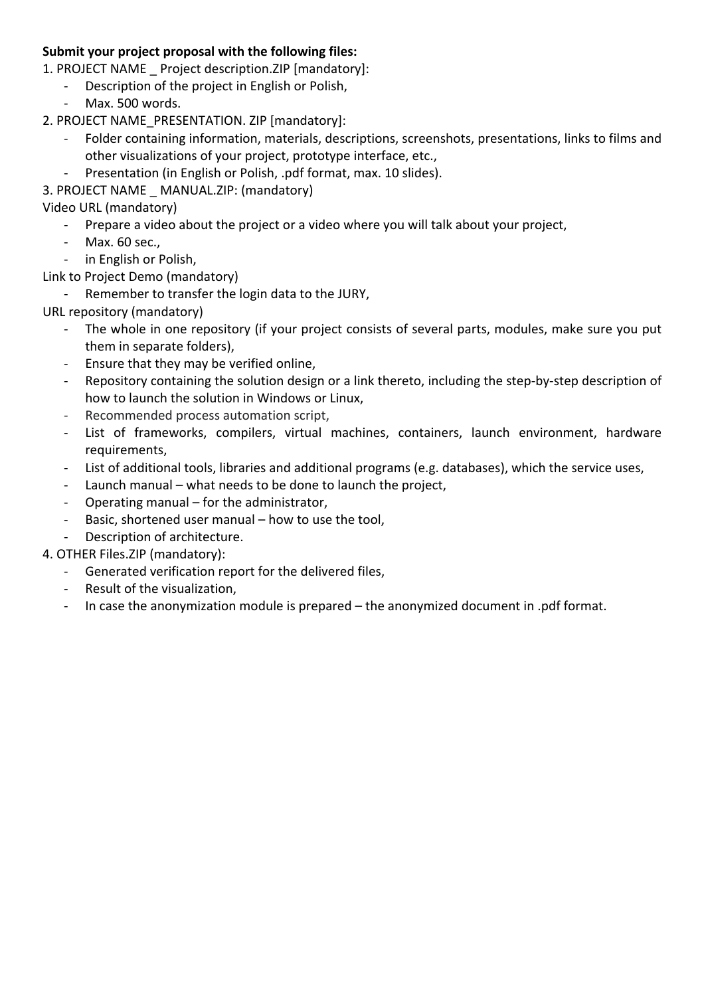## **Submit your project proposal with the following files:**

- 1. PROJECT NAME \_ Project description.ZIP [mandatory]:
	- Description of the project in English or Polish,
	- Max. 500 words.
- 2. PROJECT NAME\_PRESENTATION. ZIP [mandatory]:
	- Folder containing information, materials, descriptions, screenshots, presentations, links to films and other visualizations of your project, prototype interface, etc.,
	- Presentation (in English or Polish, .pdf format, max. 10 slides).
- 3. PROJECT NAME \_ MANUAL.ZIP: (mandatory)

Video URL (mandatory)

- Prepare a video about the project or a video where you will talk about your project,
- Max. 60 sec.,
- in English or Polish,

Link to Project Demo (mandatory)

- Remember to transfer the login data to the JURY,

URL repository (mandatory)

- The whole in one repository (if your project consists of several parts, modules, make sure you put them in separate folders),
- Ensure that they may be verified online,
- Repository containing the solution design or a link thereto, including the step-by-step description of how to launch the solution in Windows or Linux,
- Recommended process automation script,
- List of frameworks, compilers, virtual machines, containers, launch environment, hardware requirements,
- List of additional tools, libraries and additional programs (e.g. databases), which the service uses,
- Launch manual what needs to be done to launch the project,
- Operating manual for the administrator,
- Basic, shortened user manual how to use the tool,
- Description of architecture.

# 4. OTHER Files.ZIP (mandatory):

- Generated verification report for the delivered files,
- Result of the visualization,
- In case the anonymization module is prepared the anonymized document in .pdf format.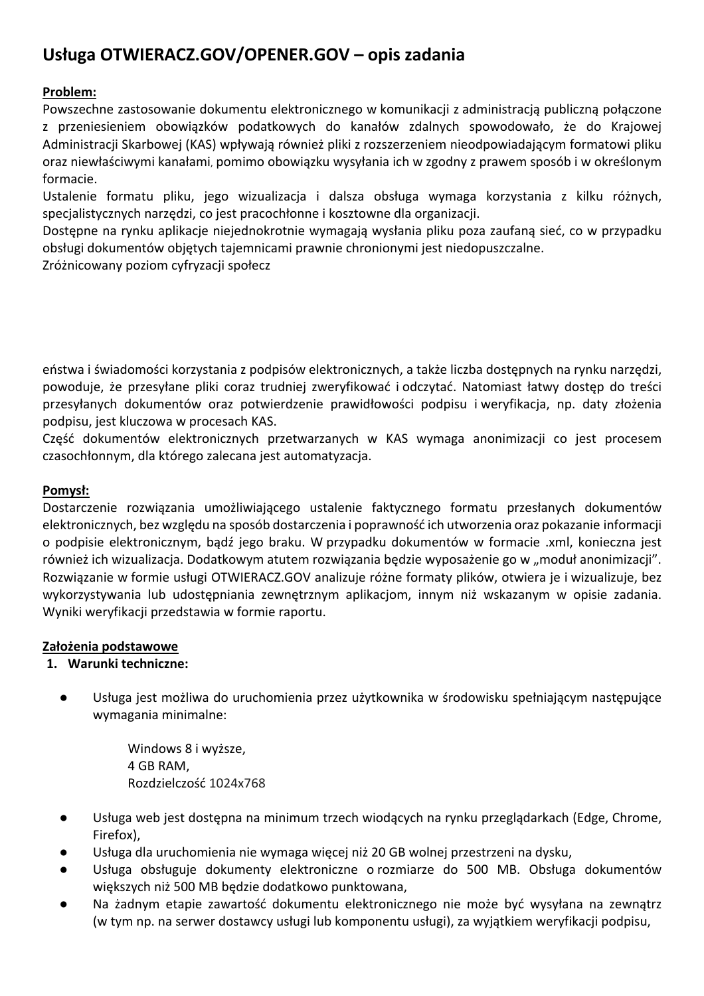# **Usługa OTWIERACZ.GOV/OPENER.GOV – opis zadania**

# **Problem:**

Powszechne zastosowanie dokumentu elektronicznego w komunikacji z administracją publiczną połączone z przeniesieniem obowiązków podatkowych do kanałów zdalnych spowodowało, że do Krajowej Administracji Skarbowej (KAS) wpływają również pliki z rozszerzeniem nieodpowiadającym formatowi pliku oraz niewłaściwymi kanałami, pomimo obowiązku wysyłania ich w zgodny z prawem sposób i w określonym formacie.

Ustalenie formatu pliku, jego wizualizacja i dalsza obsługa wymaga korzystania z kilku różnych, specjalistycznych narzędzi, co jest pracochłonne i kosztowne dla organizacji.

Dostępne na rynku aplikacje niejednokrotnie wymagają wysłania pliku poza zaufaną sieć, co w przypadku obsługi dokumentów objętych tajemnicami prawnie chronionymi jest niedopuszczalne.

Zróżnicowany poziom cyfryzacji społecz

eństwa i świadomości korzystania z podpisów elektronicznych, a także liczba dostępnych na rynku narzędzi, powoduje, że przesyłane pliki coraz trudniej zweryfikować i odczytać. Natomiast łatwy dostęp do treści przesyłanych dokumentów oraz potwierdzenie prawidłowości podpisu i weryfikacja, np. daty złożenia podpisu, jest kluczowa w procesach KAS.

Część dokumentów elektronicznych przetwarzanych w KAS wymaga anonimizacji co jest procesem czasochłonnym, dla którego zalecana jest automatyzacja.

## **Pomysł:**

Dostarczenie rozwiązania umożliwiającego ustalenie faktycznego formatu przesłanych dokumentów elektronicznych, bez względu na sposób dostarczenia i poprawność ich utworzenia oraz pokazanie informacji o podpisie elektronicznym, bądź jego braku. W przypadku dokumentów w formacie .xml, konieczna jest również ich wizualizacja. Dodatkowym atutem rozwiązania będzie wyposażenie go w "moduł anonimizacji". Rozwiązanie w formie usługi OTWIERACZ.GOV analizuje różne formaty plików, otwiera je i wizualizuje, bez wykorzystywania lub udostępniania zewnętrznym aplikacjom, innym niż wskazanym w opisie zadania. Wyniki weryfikacji przedstawia w formie raportu.

### **Założenia podstawowe**

### **1. Warunki techniczne:**

● Usługa jest możliwa do uruchomienia przez użytkownika w środowisku spełniającym następujące wymagania minimalne:

> Windows 8 i wyższe, 4 GB RAM, Rozdzielczość 1024x768

- Usługa web jest dostępna na minimum trzech wiodących na rynku przeglądarkach (Edge, Chrome, Firefox),
- Usługa dla uruchomienia nie wymaga więcej niż 20 GB wolnej przestrzeni na dysku,
- Usługa obsługuje dokumenty elektroniczne o rozmiarze do 500 MB. Obsługa dokumentów większych niż 500 MB będzie dodatkowo punktowana,
- Na żadnym etapie zawartość dokumentu elektronicznego nie może być wysyłana na zewnątrz (w tym np. na serwer dostawcy usługi lub komponentu usługi), za wyjątkiem weryfikacji podpisu,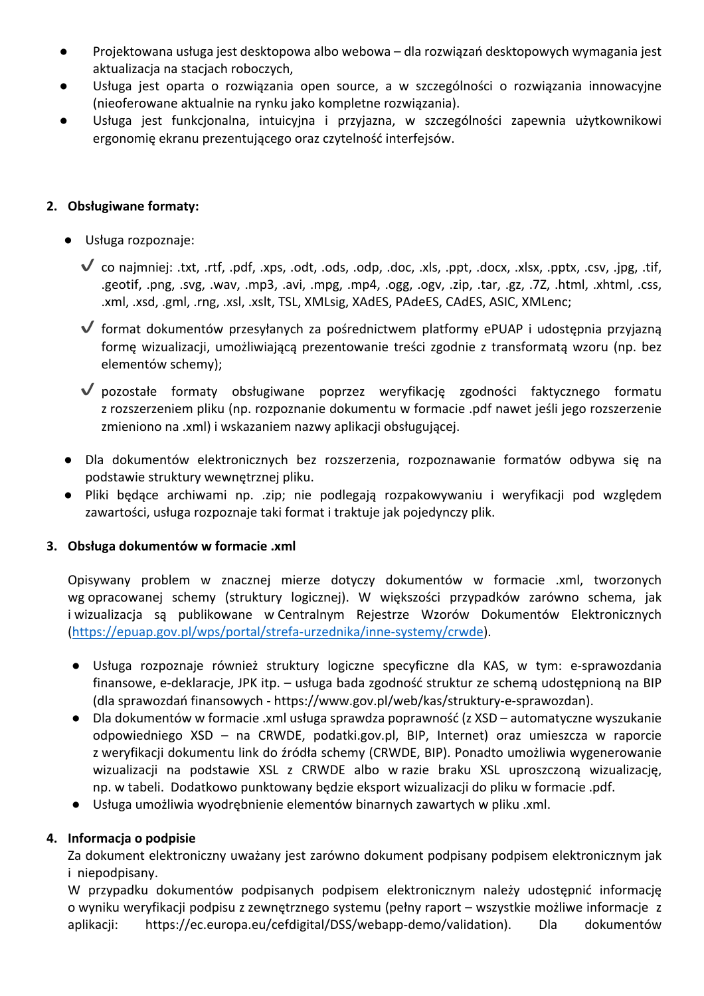- Projektowana usługa jest desktopowa albo webowa dla rozwiązań desktopowych wymagania jest aktualizacja na stacjach roboczych,
- Usługa jest oparta o rozwiązania open source, a w szczególności o rozwiązania innowacyjne (nieoferowane aktualnie na rynku jako kompletne rozwiązania).
- Usługa jest funkcjonalna, intuicyjna i przyjazna, w szczególności zapewnia użytkownikowi ergonomię ekranu prezentującego oraz czytelność interfejsów.

### **2. Obsługiwane formaty:**

- Usługa rozpoznaje:
	- $\checkmark$  co najmniej: .txt, .rtf, .pdf, .xps, .odt, .ods, .odp, .doc, .xls, .ppt, .docx, .xlsx, .pptx, .csv, .jpg, .tif, .geotif, .png, .svg, .wav, .mp3, .avi, .mpg, .mp4, .ogg, .ogv, .zip, .tar, .gz, .7Z, .html, .xhtml, .css, .xml, .xsd, .gml, .rng, .xsl, .xslt, TSL, XMLsig, XAdES, PAdeES, CAdES, ASIC, XMLenc;
	- ✔ format dokumentów przesyłanych za pośrednictwem platformy ePUAP i udostępnia przyjazną formę wizualizacji, umożliwiającą prezentowanie treści zgodnie z transformatą wzoru (np. bez elementów schemy);
	- ✔ pozostałe formaty obsługiwane poprzez weryfikację zgodności faktycznego formatu z rozszerzeniem pliku (np. rozpoznanie dokumentu w formacie .pdf nawet jeśli jego rozszerzenie zmieniono na .xml) i wskazaniem nazwy aplikacji obsługującej.
- Dla dokumentów elektronicznych bez rozszerzenia, rozpoznawanie formatów odbywa się na podstawie struktury wewnętrznej pliku.
- Pliki będące archiwami np. .zip; nie podlegają rozpakowywaniu i weryfikacji pod względem zawartości, usługa rozpoznaje taki format i traktuje jak pojedynczy plik.

### **3. Obsługa dokumentów w formacie .xml**

Opisywany problem w znacznej mierze dotyczy dokumentów w formacie .xml, tworzonych wg opracowanej schemy (struktury logicznej). W większości przypadków zarówno schema, jak i wizualizacja są publikowane w Centralnym Rejestrze Wzorów Dokumentów Elektronicznych (https://epuap.gov.pl/wps/portal/strefa-urzednika/inne-systemy/crwde).

- Usługa rozpoznaje również struktury logiczne specyficzne dla KAS, w tym: e-sprawozdania finansowe, e-deklaracje, JPK itp. – usługa bada zgodność struktur ze schemą udostępnioną na BIP (dla sprawozdań finansowych - https://www.gov.pl/web/kas/struktury-e-sprawozdan).
- Dla dokumentów w formacie .xml usługa sprawdza poprawność (z XSD automatyczne wyszukanie odpowiedniego XSD – na CRWDE, podatki.gov.pl, BIP, Internet) oraz umieszcza w raporcie z weryfikacji dokumentu link do źródła schemy (CRWDE, BIP). Ponadto umożliwia wygenerowanie wizualizacji na podstawie XSL z CRWDE albo w razie braku XSL uproszczoną wizualizację, np. w tabeli. Dodatkowo punktowany będzie eksport wizualizacji do pliku w formacie .pdf.
- Usługa umożliwia wyodrębnienie elementów binarnych zawartych w pliku .xml.

### **4. Informacja o podpisie**

Za dokument elektroniczny uważany jest zarówno dokument podpisany podpisem elektronicznym jak i niepodpisany.

W przypadku dokumentów podpisanych podpisem elektronicznym należy udostępnić informację o wyniku weryfikacji podpisu z zewnętrznego systemu (pełny raport – wszystkie możliwe informacje z aplikacji: https://ec.europa.eu/cefdigital/DSS/webapp-demo/validation). Dla dokumentów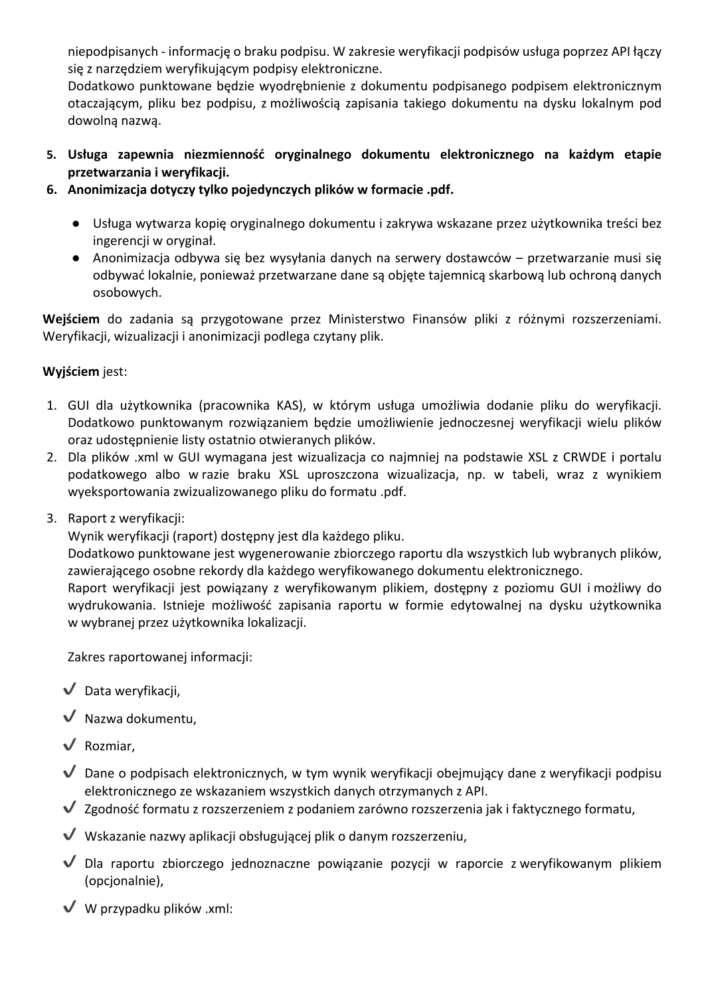niepodpisanych - informację o braku podpisu. W zakresie weryfikacji podpisów usługa poprzez API łączy się z narzędziem weryfikującym podpisy elektroniczne.

Dodatkowo punktowane będzie wyodrębnienie z dokumentu podpisanego podpisem elektronicznym otaczającym, pliku bez podpisu, z możliwością zapisania takiego dokumentu na dysku lokalnym pod dowolną nazwą.

- **5. Usługa zapewnia niezmienność oryginalnego dokumentu elektronicznego na każdym etapie przetwarzania i weryfikacji.**
- **6. Anonimizacja dotyczy tylko pojedynczych plików w formacie .pdf.** 
	- Usługa wytwarza kopię oryginalnego dokumentu i zakrywa wskazane przez użytkownika treści bez ingerencji w oryginał.
	- Anonimizacja odbywa się bez wysyłania danych na serwery dostawców przetwarzanie musi się odbywać lokalnie, ponieważ przetwarzane dane są objęte tajemnicą skarbową lub ochroną danych osobowych.

**Wejściem** do zadania są przygotowane przez Ministerstwo Finansów pliki z różnymi rozszerzeniami. Weryfikacji, wizualizacji i anonimizacji podlega czytany plik.

# **Wyjściem** jest:

- 1. GUI dla użytkownika (pracownika KAS), w którym usługa umożliwia dodanie pliku do weryfikacji. Dodatkowo punktowanym rozwiązaniem będzie umożliwienie jednoczesnej weryfikacji wielu plików oraz udostępnienie listy ostatnio otwieranych plików.
- 2. Dla plików .xml w GUI wymagana jest wizualizacja co najmniej na podstawie XSL z CRWDE i portalu podatkowego albo w razie braku XSL uproszczona wizualizacja, np. w tabeli, wraz z wynikiem wyeksportowania zwizualizowanego pliku do formatu .pdf.
- 3. Raport z weryfikacji:

Wynik weryfikacji (raport) dostępny jest dla każdego pliku.

Dodatkowo punktowane jest wygenerowanie zbiorczego raportu dla wszystkich lub wybranych plików, zawierającego osobne rekordy dla każdego weryfikowanego dokumentu elektronicznego.

Raport weryfikacji jest powiązany z weryfikowanym plikiem, dostępny z poziomu GUI i możliwy do wydrukowania. Istnieje możliwość zapisania raportu w formie edytowalnej na dysku użytkownika w wybranej przez użytkownika lokalizacji.

Zakres raportowanej informacji:

- $\sqrt{\phantom{a}}$  Data weryfikacji,
- $\sqrt{\phantom{a}}$  Nazwa dokumentu,
- ✔ Rozmiar,
- $\blacktriangledown$  Dane o podpisach elektronicznych, w tym wynik weryfikacji obejmujący dane z weryfikacji podpisu elektronicznego ze wskazaniem wszystkich danych otrzymanych z API.
- ✔ Zgodność formatu z rozszerzeniem z podaniem zarówno rozszerzenia jak i faktycznego formatu,
- $\blacktriangledown$  Wskazanie nazwy aplikacii obsługującej plik o danym rozszerzeniu,
- ✔ Dla raportu zbiorczego jednoznaczne powiązanie pozycji w raporcie z weryfikowanym plikiem (opcjonalnie),
- $\vee$  W przypadku plików .xml: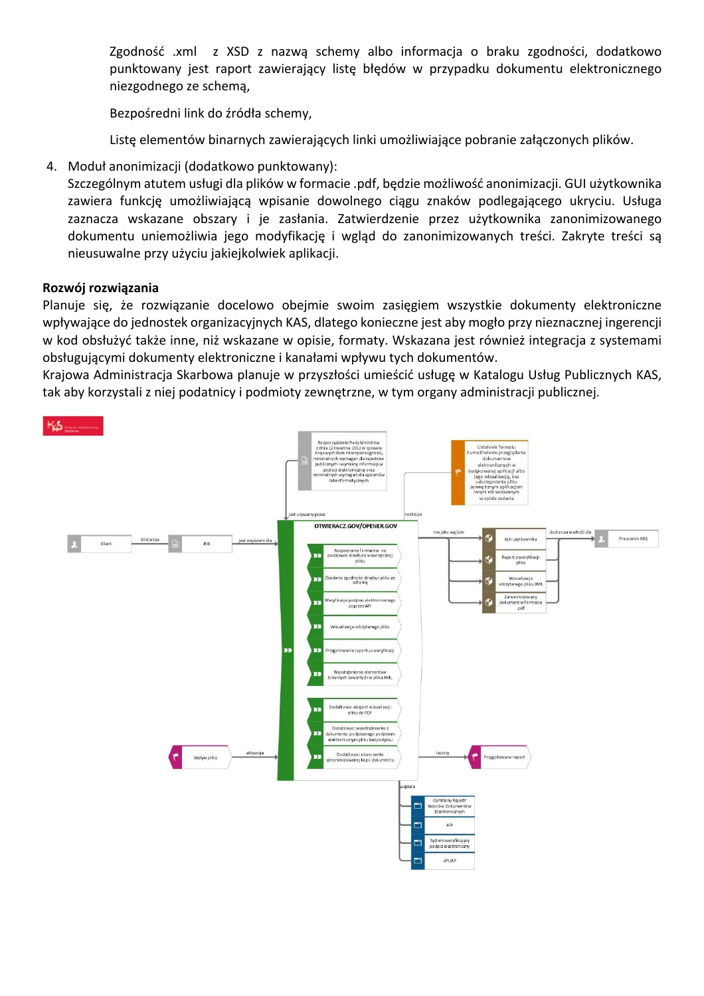Zgodność .xml z XSD z nazwą schemy albo informacja o braku zgodności, dodatkowo punktowany jest raport zawierający listę błędów w przypadku dokumentu elektronicznego niezgodnego ze schemą,

Bezpośredni link do źródła schemy,

Listę elementów binarnych zawierających linki umożliwiające pobranie załączonych plików.

4. Moduł anonimizacji (dodatkowo punktowany):

Szczególnym atutem usługi dla plików w formacie .pdf, będzie możliwość anonimizacji. GUI użytkownika zawiera funkcję umożliwiającą wpisanie dowolnego ciągu znaków podlegającego ukryciu. Usługa zaznacza wskazane obszary i je zasłania. Zatwierdzenie przez użytkownika zanonimizowanego dokumentu uniemożliwia jego modyfikację i wgląd do zanonimizowanych treści. Zakryte treści są nieusuwalne przy użyciu jakiejkolwiek aplikacji.

### **Rozwój rozwiązania**

Planuje się, że rozwiązanie docelowo obejmie swoim zasięgiem wszystkie dokumenty elektroniczne wpływające do jednostek organizacyjnych KAS, dlatego konieczne jest aby mogło przy nieznacznej ingerencji w kod obsłużyć także inne, niż wskazane w opisie, formaty. Wskazana jest również integracja z systemami obsługującymi dokumenty elektroniczne i kanałami wpływu tych dokumentów.

Krajowa Administracja Skarbowa planuje w przyszłości umieścić usługę w Katalogu Usług Publicznych KAS, tak aby korzystali z niej podatnicy i podmioty zewnętrzne, w tym organy administracji publicznej.